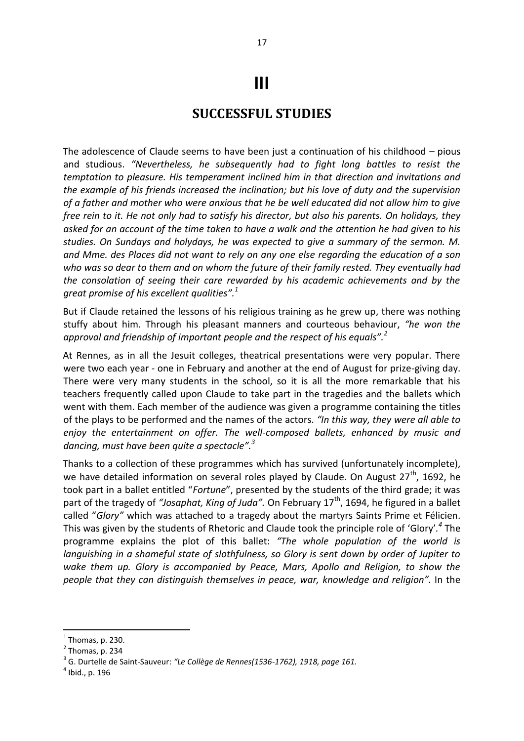## **III**

## **SUCCESSFUL STUDIES**

The adolescence of Claude seems to have been just a continuation of his childhood – pious and studious. *"Nevertheless, he subsequently had to fight long battles to resist the temptation to pleasure. His temperament inclined him in that direction and invitations and the example of his friends increased the inclination; but his love of duty and the supervision of a father and mother who were anxious that he be well educated did not allow him to give free rein to it. He not only had to satisfy his director, but also his parents. On holidays, they asked for an account of the time taken to have a walk and the attention he had given to his studies. On Sundays and holydays, he was expected to give a summary of the sermon. M. and Mme. des Places did not want to rely on any one else regarding the education of a son who was so dear to them and on whom the future of their family rested. They eventually had the consolation of seeing their care rewarded by his academic achievements and by the great promise of his excellent qualities".<sup>1</sup>* 

But if Claude retained the lessons of his religious training as he grew up, there was nothing stuffy about him. Through his pleasant manners and courteous behaviour, *"he won the approval and friendship of important people and the respect of his equals".<sup>2</sup>* 

At Rennes, as in all the Jesuit colleges, theatrical presentations were very popular. There were two each year - one in February and another at the end of August for prize-giving day. There were very many students in the school, so it is all the more remarkable that his teachers frequently called upon Claude to take part in the tragedies and the ballets which went with them. Each member of the audience was given a programme containing the titles of the plays to be performed and the names of the actors. *"In this way, they were all able to enjoy the entertainment on offer. The well-composed ballets, enhanced by music and dancing, must have been quite a spectacle".<sup>3</sup>* 

Thanks to a collection of these programmes which has survived (unfortunately incomplete), we have detailed information on several roles played by Claude. On August  $27<sup>th</sup>$ , 1692, he took part in a ballet entitled "*Fortune*", presented by the students of the third grade; it was part of the tragedy of "Josaphat, King of Juda". On February 17<sup>th</sup>, 1694, he figured in a ballet called "*Glory"* which was attached to a tragedy about the martyrs Saints Prime et Félicien. This was given by the students of Rhetoric and Claude took the principle role of 'Glory'*. 4* The programme explains the plot of this ballet: *"The whole population of the world is languishing in a shameful state of slothfulness, so Glory is sent down by order of Jupiter to wake them up. Glory is accompanied by Peace, Mars, Apollo and Religion, to show the people that they can distinguish themselves in peace, war, knowledge and religion".* In the

1

 $<sup>1</sup>$  Thomas, p. 230.</sup>

 $<sup>2</sup>$  Thomas, p. 234</sup>

<sup>3</sup> G. Durtelle de Saint-Sauveur: *"Le Collège de Rennes(1536-1762), 1918, page 161.* 

<sup>4</sup> Ibid., p. 196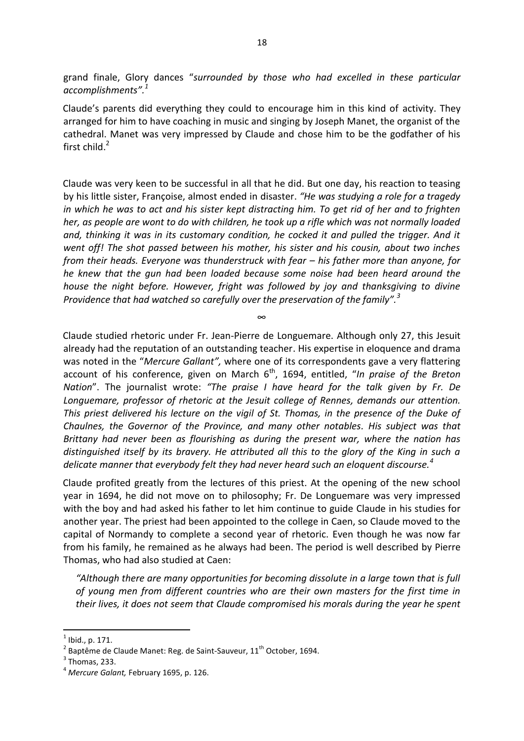grand finale, Glory dances "*surrounded by those who had excelled in these particular accomplishments". 1*

Claude's parents did everything they could to encourage him in this kind of activity. They arranged for him to have coaching in music and singing by Joseph Manet, the organist of the cathedral. Manet was very impressed by Claude and chose him to be the godfather of his first child. $2$ 

Claude was very keen to be successful in all that he did. But one day, his reaction to teasing by his little sister, Françoise, almost ended in disaster. *"He was studying a role for a tragedy in which he was to act and his sister kept distracting him. To get rid of her and to frighten her, as people are wont to do with children, he took up a rifle which was not normally loaded and, thinking it was in its customary condition, he cocked it and pulled the trigger. And it went off! The shot passed between his mother, his sister and his cousin, about two inches from their heads. Everyone was thunderstruck with fear – his father more than anyone, for he knew that the gun had been loaded because some noise had been heard around the house the night before. However, fright was followed by joy and thanksgiving to divine Providence that had watched so carefully over the preservation of the family".<sup>3</sup>* 

∞

Claude studied rhetoric under Fr. Jean-Pierre de Longuemare. Although only 27, this Jesuit already had the reputation of an outstanding teacher. His expertise in eloquence and drama was noted in the "*Mercure Gallant",* where one of its correspondents gave a very flattering account of his conference, given on March 6<sup>th</sup>, 1694, entitled, "*In praise of the Breton Nation*". The journalist wrote: *"The praise I have heard for the talk given by Fr. De Longuemare, professor of rhetoric at the Jesuit college of Rennes, demands our attention. This priest delivered his lecture on the vigil of St. Thomas, in the presence of the Duke of Chaulnes, the Governor of the Province, and many other notables. His subject was that Brittany had never been as flourishing as during the present war, where the nation has distinguished itself by its bravery. He attributed all this to the glory of the King in such a delicate manner that everybody felt they had never heard such an eloquent discourse.<sup>4</sup>*

Claude profited greatly from the lectures of this priest. At the opening of the new school year in 1694, he did not move on to philosophy; Fr. De Longuemare was very impressed with the boy and had asked his father to let him continue to guide Claude in his studies for another year. The priest had been appointed to the college in Caen, so Claude moved to the capital of Normandy to complete a second year of rhetoric. Even though he was now far from his family, he remained as he always had been. The period is well described by Pierre Thomas, who had also studied at Caen:

*"Although there are many opportunities for becoming dissolute in a large town that is full of young men from different countries who are their own masters for the first time in their lives, it does not seem that Claude compromised his morals during the year he spent* 

1

<sup>1</sup> Ibid., p. 171.

<sup>&</sup>lt;sup>2</sup> Baptême de Claude Manet: Reg. de Saint-Sauveur,  $11<sup>th</sup>$  October, 1694.

 $<sup>3</sup>$  Thomas, 233.</sup>

<sup>4</sup> *Mercure Galant,* February 1695, p. 126.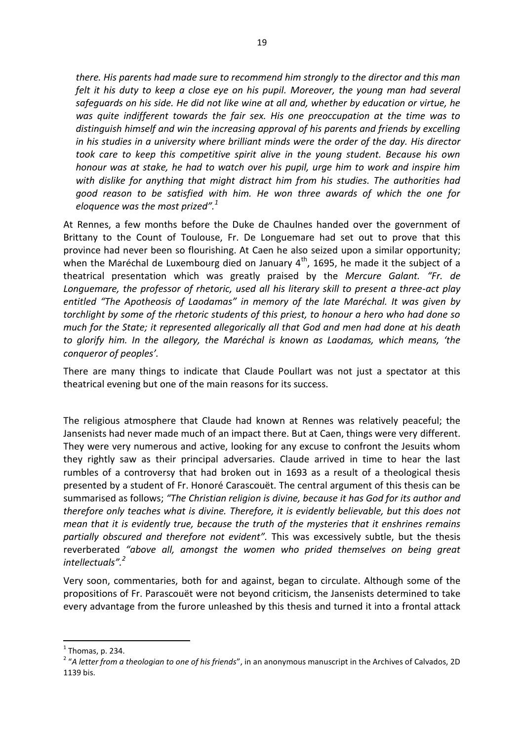*there. His parents had made sure to recommend him strongly to the director and this man*  felt it his duty to keep a close eye on his pupil. Moreover, the young man had several *safeguards on his side. He did not like wine at all and, whether by education or virtue, he was quite indifferent towards the fair sex. His one preoccupation at the time was to distinguish himself and win the increasing approval of his parents and friends by excelling in his studies in a university where brilliant minds were the order of the day. His director took care to keep this competitive spirit alive in the young student. Because his own honour was at stake, he had to watch over his pupil, urge him to work and inspire him with dislike for anything that might distract him from his studies. The authorities had good reason to be satisfied with him. He won three awards of which the one for eloquence was the most prized".<sup>1</sup>* 

At Rennes, a few months before the Duke de Chaulnes handed over the government of Brittany to the Count of Toulouse, Fr. De Longuemare had set out to prove that this province had never been so flourishing. At Caen he also seized upon a similar opportunity; when the Maréchal de Luxembourg died on January  $4<sup>th</sup>$ , 1695, he made it the subject of a theatrical presentation which was greatly praised by the *Mercure Galant. "Fr. de Longuemare, the professor of rhetoric, used all his literary skill to present a three-act play entitled "The Apotheosis of Laodamas" in memory of the late Maréchal. It was given by torchlight by some of the rhetoric students of this priest, to honour a hero who had done so much for the State; it represented allegorically all that God and men had done at his death to glorify him. In the allegory, the Maréchal is known as Laodamas, which means, 'the conqueror of peoples'.*

There are many things to indicate that Claude Poullart was not just a spectator at this theatrical evening but one of the main reasons for its success.

The religious atmosphere that Claude had known at Rennes was relatively peaceful; the Jansenists had never made much of an impact there. But at Caen, things were very different. They were very numerous and active, looking for any excuse to confront the Jesuits whom they rightly saw as their principal adversaries. Claude arrived in time to hear the last rumbles of a controversy that had broken out in 1693 as a result of a theological thesis presented by a student of Fr. Honoré Carascouët. The central argument of this thesis can be summarised as follows; *"The Christian religion is divine, because it has God for its author and therefore only teaches what is divine. Therefore, it is evidently believable, but this does not mean that it is evidently true, because the truth of the mysteries that it enshrines remains partially obscured and therefore not evident".* This was excessively subtle, but the thesis reverberated *"above all, amongst the women who prided themselves on being great intellectuals".<sup>2</sup>*

Very soon, commentaries, both for and against, began to circulate. Although some of the propositions of Fr. Parascouët were not beyond criticism, the Jansenists determined to take every advantage from the furore unleashed by this thesis and turned it into a frontal attack

**.** 

 $<sup>1</sup>$  Thomas, p. 234.</sup>

<sup>2</sup> "*A letter from a theologian to one of his friends*", in an anonymous manuscript in the Archives of Calvados, 2D 1139 bis.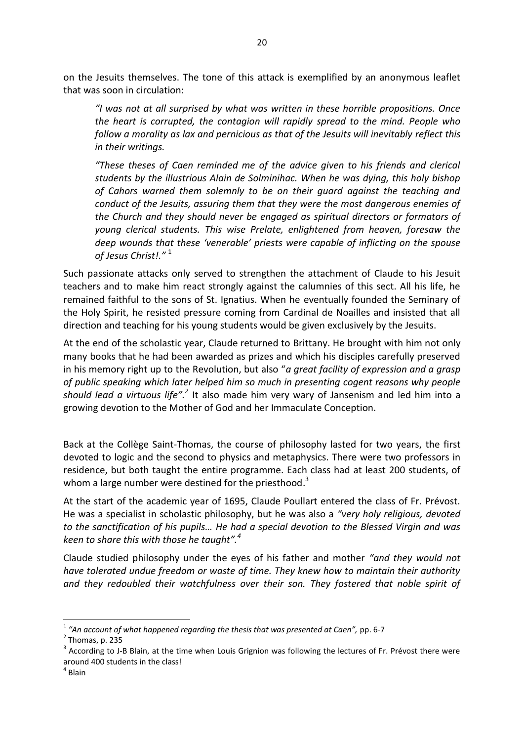on the Jesuits themselves. The tone of this attack is exemplified by an anonymous leaflet that was soon in circulation:

*"I was not at all surprised by what was written in these horrible propositions. Once the heart is corrupted, the contagion will rapidly spread to the mind. People who follow a morality as lax and pernicious as that of the Jesuits will inevitably reflect this in their writings.* 

*"These theses of Caen reminded me of the advice given to his friends and clerical students by the illustrious Alain de Solminihac. When he was dying, this holy bishop of Cahors warned them solemnly to be on their guard against the teaching and conduct of the Jesuits, assuring them that they were the most dangerous enemies of the Church and they should never be engaged as spiritual directors or formators of young clerical students. This wise Prelate, enlightened from heaven, foresaw the deep wounds that these 'venerable' priests were capable of inflicting on the spouse of Jesus Christ!."* <sup>1</sup>

Such passionate attacks only served to strengthen the attachment of Claude to his Jesuit teachers and to make him react strongly against the calumnies of this sect. All his life, he remained faithful to the sons of St. Ignatius. When he eventually founded the Seminary of the Holy Spirit, he resisted pressure coming from Cardinal de Noailles and insisted that all direction and teaching for his young students would be given exclusively by the Jesuits.

At the end of the scholastic year, Claude returned to Brittany. He brought with him not only many books that he had been awarded as prizes and which his disciples carefully preserved in his memory right up to the Revolution, but also "*a great facility of expression and a grasp of public speaking which later helped him so much in presenting cogent reasons why people*  should lead a virtuous life".<sup>2</sup> It also made him very wary of Jansenism and led him into a growing devotion to the Mother of God and her Immaculate Conception.

Back at the Collège Saint-Thomas, the course of philosophy lasted for two years, the first devoted to logic and the second to physics and metaphysics. There were two professors in residence, but both taught the entire programme. Each class had at least 200 students, of whom a large number were destined for the priesthood.<sup>3</sup>

At the start of the academic year of 1695, Claude Poullart entered the class of Fr. Prévost. He was a specialist in scholastic philosophy, but he was also a *"very holy religious, devoted to the sanctification of his pupils… He had a special devotion to the Blessed Virgin and was keen to share this with those he taught".<sup>4</sup>* 

Claude studied philosophy under the eyes of his father and mother *"and they would not have tolerated undue freedom or waste of time. They knew how to maintain their authority and they redoubled their watchfulness over their son. They fostered that noble spirit of* 

 $\overline{a}$ 

<sup>&</sup>lt;sup>1</sup> "An account of what happened regarding the thesis that was presented at Caen", pp. 6-7

 $<sup>2</sup>$  Thomas, p. 235</sup>

 $3$  According to J-B Blain, at the time when Louis Grignion was following the lectures of Fr. Prévost there were around 400 students in the class!

<sup>4</sup> Blain